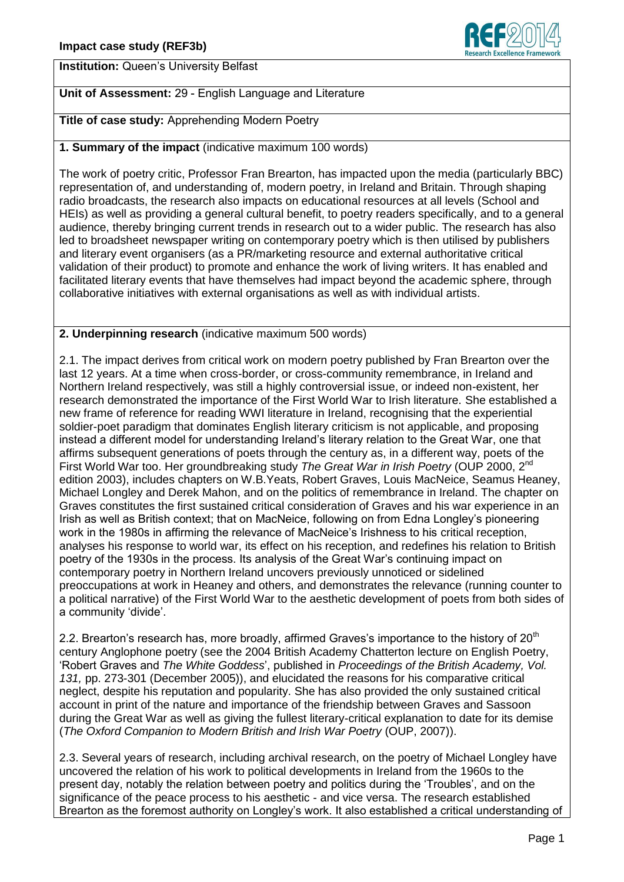

**Institution: Queen's University Belfast** 

# **Unit of Assessment:** 29 - English Language and Literature

**Title of case study:** Apprehending Modern Poetry

## **1. Summary of the impact** (indicative maximum 100 words)

The work of poetry critic, Professor Fran Brearton, has impacted upon the media (particularly BBC) representation of, and understanding of, modern poetry, in Ireland and Britain. Through shaping radio broadcasts, the research also impacts on educational resources at all levels (School and HEIs) as well as providing a general cultural benefit, to poetry readers specifically, and to a general audience, thereby bringing current trends in research out to a wider public. The research has also led to broadsheet newspaper writing on contemporary poetry which is then utilised by publishers and literary event organisers (as a PR/marketing resource and external authoritative critical validation of their product) to promote and enhance the work of living writers. It has enabled and facilitated literary events that have themselves had impact beyond the academic sphere, through collaborative initiatives with external organisations as well as with individual artists.

## **2. Underpinning research** (indicative maximum 500 words)

2.1. The impact derives from critical work on modern poetry published by Fran Brearton over the last 12 years. At a time when cross-border, or cross-community remembrance, in Ireland and Northern Ireland respectively, was still a highly controversial issue, or indeed non-existent, her research demonstrated the importance of the First World War to Irish literature. She established a new frame of reference for reading WWI literature in Ireland, recognising that the experiential soldier-poet paradigm that dominates English literary criticism is not applicable, and proposing instead a different model for understanding Ireland's literary relation to the Great War, one that affirms subsequent generations of poets through the century as, in a different way, poets of the First World War too. Her groundbreaking study *The Great War in Irish Poetry* (OUP 2000, 2nd edition 2003), includes chapters on W.B.Yeats, Robert Graves, Louis MacNeice, Seamus Heaney, Michael Longley and Derek Mahon, and on the politics of remembrance in Ireland. The chapter on Graves constitutes the first sustained critical consideration of Graves and his war experience in an Irish as well as British context; that on MacNeice, following on from Edna Longley's pioneering work in the 1980s in affirming the relevance of MacNeice's Irishness to his critical reception, analyses his response to world war, its effect on his reception, and redefines his relation to British poetry of the 1930s in the process. Its analysis of the Great War's continuing impact on contemporary poetry in Northern Ireland uncovers previously unnoticed or sidelined preoccupations at work in Heaney and others, and demonstrates the relevance (running counter to a political narrative) of the First World War to the aesthetic development of poets from both sides of a community 'divide'.

2.2. Brearton's research has, more broadly, affirmed Graves's importance to the history of  $20<sup>th</sup>$ century Anglophone poetry (see the 2004 British Academy Chatterton lecture on English Poetry, 'Robert Graves and *The White Goddess*', published in *Proceedings of the British Academy, Vol. 131,* pp. 273-301 (December 2005)), and elucidated the reasons for his comparative critical neglect, despite his reputation and popularity. She has also provided the only sustained critical account in print of the nature and importance of the friendship between Graves and Sassoon during the Great War as well as giving the fullest literary-critical explanation to date for its demise (*The Oxford Companion to Modern British and Irish War Poetry* (OUP, 2007)).

2.3. Several years of research, including archival research, on the poetry of Michael Longley have uncovered the relation of his work to political developments in Ireland from the 1960s to the present day, notably the relation between poetry and politics during the 'Troubles', and on the significance of the peace process to his aesthetic - and vice versa. The research established Brearton as the foremost authority on Longley's work. It also established a critical understanding of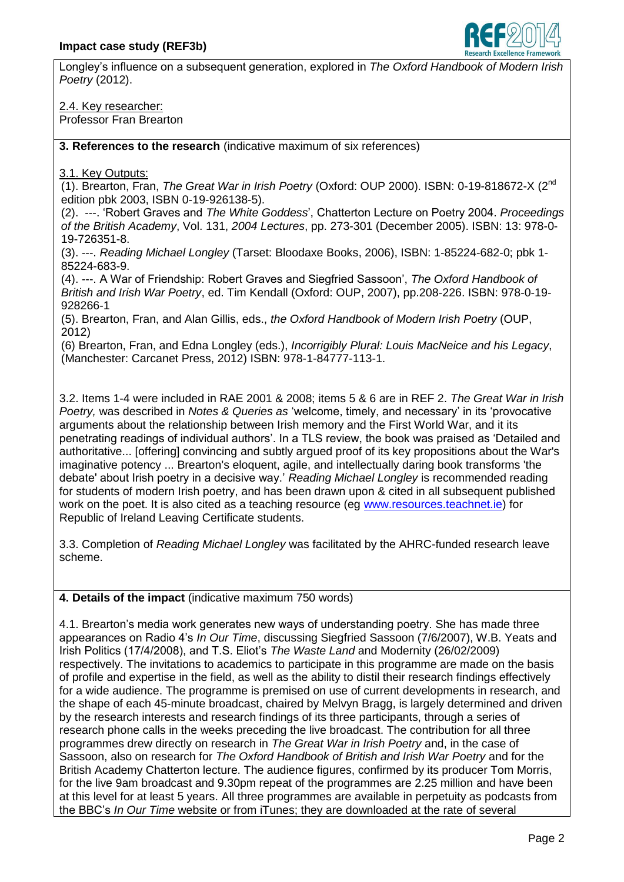

Longley's influence on a subsequent generation, explored in *The Oxford Handbook of Modern Irish Poetry* (2012).

2.4. Key researcher: Professor Fran Brearton

**3. References to the research** (indicative maximum of six references)

3.1. Key Outputs:

(1). Brearton, Fran, *The Great War in Irish Poetry* (Oxford: OUP 2000). ISBN: 0-19-818672-X (2nd edition pbk 2003, ISBN 0-19-926138-5).

(2). ---. 'Robert Graves and *The White Goddess*', Chatterton Lecture on Poetry 2004. *Proceedings of the British Academy*, Vol. 131, *2004 Lectures*, pp. 273-301 (December 2005). ISBN: 13: 978-0- 19-726351-8.

(3). ---. *Reading Michael Longley* (Tarset: Bloodaxe Books, 2006), ISBN: 1-85224-682-0; pbk 1- 85224-683-9.

(4). ---. A War of Friendship: Robert Graves and Siegfried Sassoon', *The Oxford Handbook of British and Irish War Poetry*, ed. Tim Kendall (Oxford: OUP, 2007), pp.208-226. ISBN: 978-0-19- 928266-1

(5). Brearton, Fran, and Alan Gillis, eds., *the Oxford Handbook of Modern Irish Poetry* (OUP, 2012)

(6) Brearton, Fran, and Edna Longley (eds.), *Incorrigibly Plural: Louis MacNeice and his Legacy*, (Manchester: Carcanet Press, 2012) ISBN: 978-1-84777-113-1.

3.2. Items 1-4 were included in RAE 2001 & 2008; items 5 & 6 are in REF 2. *The Great War in Irish Poetry,* was described in *Notes & Queries as* 'welcome, timely, and necessary' in its 'provocative arguments about the relationship between Irish memory and the First World War, and it its penetrating readings of individual authors'. In a TLS review, the book was praised as 'Detailed and authoritative... [offering] convincing and subtly argued proof of its key propositions about the War's imaginative potency ... Brearton's eloquent, agile, and intellectually daring book transforms 'the debate' about Irish poetry in a decisive way.' *Reading Michael Longley* is recommended reading for students of modern Irish poetry, and has been drawn upon & cited in all subsequent published work on the poet. It is also cited as a teaching resource (eg [www.resources.teachnet.ie\)](http://www.resources.teachnet.ie/) for Republic of Ireland Leaving Certificate students.

3.3. Completion of *Reading Michael Longley* was facilitated by the AHRC-funded research leave scheme.

**4. Details of the impact** (indicative maximum 750 words)

4.1. Brearton's media work generates new ways of understanding poetry. She has made three appearances on Radio 4's *In Our Time*, discussing Siegfried Sassoon (7/6/2007), W.B. Yeats and Irish Politics (17/4/2008), and T.S. Eliot's *The Waste Land* and Modernity (26/02/2009) respectively. The invitations to academics to participate in this programme are made on the basis of profile and expertise in the field, as well as the ability to distil their research findings effectively for a wide audience. The programme is premised on use of current developments in research, and the shape of each 45-minute broadcast, chaired by Melvyn Bragg, is largely determined and driven by the research interests and research findings of its three participants, through a series of research phone calls in the weeks preceding the live broadcast. The contribution for all three programmes drew directly on research in *The Great War in Irish Poetry* and, in the case of Sassoon, also on research for *The Oxford Handbook of British and Irish War Poetry* and for the British Academy Chatterton lecture. The audience figures, confirmed by its producer Tom Morris, for the live 9am broadcast and 9.30pm repeat of the programmes are 2.25 million and have been at this level for at least 5 years. All three programmes are available in perpetuity as podcasts from the BBC's *In Our Time* website or from iTunes; they are downloaded at the rate of several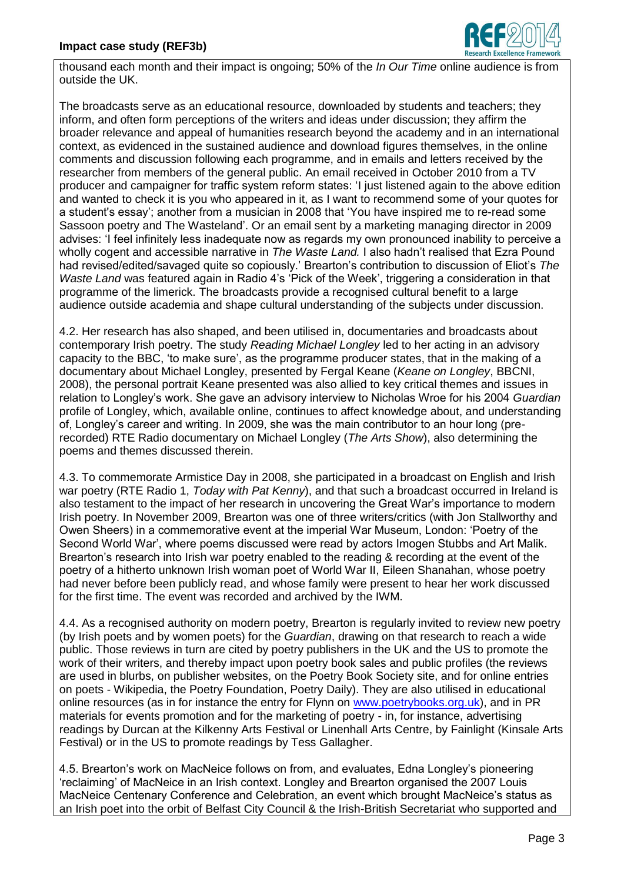

thousand each month and their impact is ongoing; 50% of the *In Our Time* online audience is from outside the UK.

The broadcasts serve as an educational resource, downloaded by students and teachers; they inform, and often form perceptions of the writers and ideas under discussion; they affirm the broader relevance and appeal of humanities research beyond the academy and in an international context, as evidenced in the sustained audience and download figures themselves, in the online comments and discussion following each programme, and in emails and letters received by the researcher from members of the general public. An email received in October 2010 from a TV producer and campaigner for traffic system reform states: 'I just listened again to the above edition and wanted to check it is you who appeared in it, as I want to recommend some of your quotes for a student's essay'; another from a musician in 2008 that 'You have inspired me to re-read some Sassoon poetry and The Wasteland'. Or an email sent by a marketing managing director in 2009 advises: 'I feel infinitely less inadequate now as regards my own pronounced inability to perceive a wholly cogent and accessible narrative in *The Waste Land.* I also hadn't realised that Ezra Pound had revised/edited/savaged quite so copiously.' Brearton's contribution to discussion of Eliot's *The Waste Land* was featured again in Radio 4's 'Pick of the Week', triggering a consideration in that programme of the limerick. The broadcasts provide a recognised cultural benefit to a large audience outside academia and shape cultural understanding of the subjects under discussion.

4.2. Her research has also shaped, and been utilised in, documentaries and broadcasts about contemporary Irish poetry. The study *Reading Michael Longley* led to her acting in an advisory capacity to the BBC, 'to make sure', as the programme producer states, that in the making of a documentary about Michael Longley, presented by Fergal Keane (*Keane on Longley*, BBCNI, 2008), the personal portrait Keane presented was also allied to key critical themes and issues in relation to Longley's work. She gave an advisory interview to Nicholas Wroe for his 2004 *Guardian* profile of Longley, which, available online, continues to affect knowledge about, and understanding of, Longley's career and writing. In 2009, she was the main contributor to an hour long (prerecorded) RTE Radio documentary on Michael Longley (*The Arts Show*), also determining the poems and themes discussed therein.

4.3. To commemorate Armistice Day in 2008, she participated in a broadcast on English and Irish war poetry (RTE Radio 1, *Today with Pat Kenny*), and that such a broadcast occurred in Ireland is also testament to the impact of her research in uncovering the Great War's importance to modern Irish poetry. In November 2009, Brearton was one of three writers/critics (with Jon Stallworthy and Owen Sheers) in a commemorative event at the imperial War Museum, London: 'Poetry of the Second World War', where poems discussed were read by actors Imogen Stubbs and Art Malik. Brearton's research into Irish war poetry enabled to the reading & recording at the event of the poetry of a hitherto unknown Irish woman poet of World War II, Eileen Shanahan, whose poetry had never before been publicly read, and whose family were present to hear her work discussed for the first time. The event was recorded and archived by the IWM.

4.4. As a recognised authority on modern poetry, Brearton is regularly invited to review new poetry (by Irish poets and by women poets) for the *Guardian*, drawing on that research to reach a wide public. Those reviews in turn are cited by poetry publishers in the UK and the US to promote the work of their writers, and thereby impact upon poetry book sales and public profiles (the reviews are used in blurbs, on publisher websites, on the Poetry Book Society site, and for online entries on poets - Wikipedia, the Poetry Foundation, Poetry Daily). They are also utilised in educational online resources (as in for instance the entry for Flynn on [www.poetrybooks.org.uk\)](http://www.poetrybooks.org.uk/), and in PR materials for events promotion and for the marketing of poetry - in, for instance, advertising readings by Durcan at the Kilkenny Arts Festival or Linenhall Arts Centre, by Fainlight (Kinsale Arts Festival) or in the US to promote readings by Tess Gallagher.

4.5. Brearton's work on MacNeice follows on from, and evaluates, Edna Longley's pioneering 'reclaiming' of MacNeice in an Irish context. Longley and Brearton organised the 2007 Louis MacNeice Centenary Conference and Celebration, an event which brought MacNeice's status as an Irish poet into the orbit of Belfast City Council & the Irish-British Secretariat who supported and